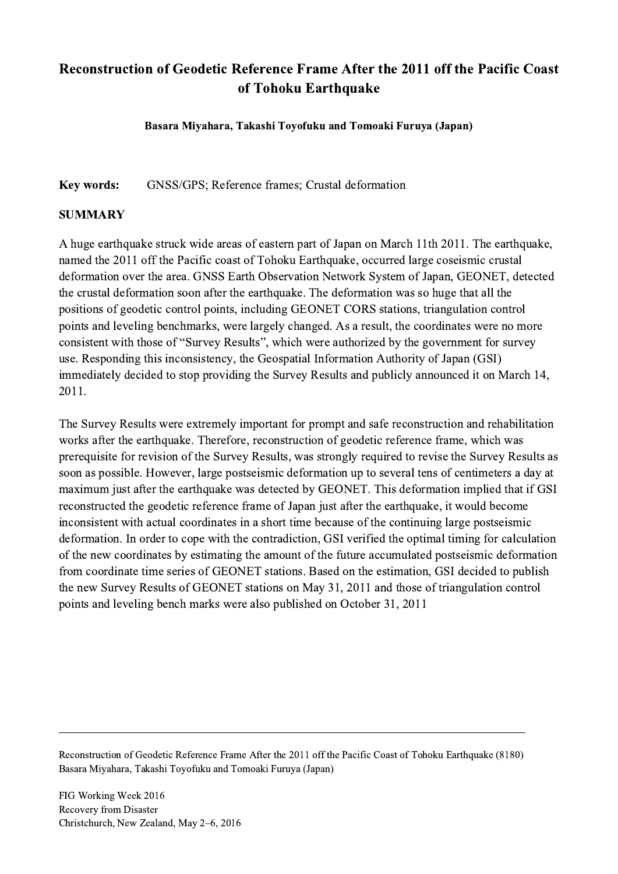## Reconstruction of Geodetic Reference Frame After the 2011 off the Pacific Coast of Tohoku Earthquake

Basara Miyahara, Takashi Toyofuku and Tomoaki Furuya (Japan)

Key words: GNSS/GPS; Reference frames; Crustal deformation

## SUMMARY

A huge earthquake struck wide areas of eastern part of Japan on March 11th 2011. The earthquake, named the 2011 off the Pacific coast of Tohoku Earthquake, occurred large coseismic crustal deformation over the area. GNSS Earth Observation Network System of Japan, GEONET, detected the crustal deformation soon after the earthquake. The deformation was so huge that all the positions of geodetic control points, including GEONET CORS stations, triangulation control points and leveling benchmarks, were largely changed. As a result, the coordinates were no more consistent with those of "Survey Results", which were authorized by the government for survey use. Responding this inconsistency, the Geospatial Information Authority of Japan (GSI) immediately decided to stop providing the Survey Results and publicly announced it on March 14, 2011.

The Survey Results were extremely important for prompt and safe reconstruction and rehabilitation works after the earthquake. Therefore, reconstruction of geodetic reference frame, which was prerequisite for revision of the Survey Results, was strongly required to revise the Survey Results as soon as possible. However, large postseismic deformation up to several tens of centimeters a day at maximum just after the earthquake was detected by GEONET. This deformation implied that if GSI reconstructed the geodetic reference frame of Japan just after the earthquake, it would become inconsistent with actual coordinates in a short time because of the continuing large postseismic deformation. In order to cope with the contradiction, GSI verified the optimal timing for calculation of the new coordinates by estimating the amount of the future accumulated postseismic deformation from coordinate time series of GEONET stations. Based on the estimation, GSI decided to publish the new Survey Results of GEONET stations on May 31, 2011 and those of triangulation control points and leveling bench marks were also published on October 31, 2011

Reconstruction of Geodetic Reference Frame After the 2011 off the Pacific Coast of Tohoku Earthquake (8180) Basara Miyahara, Takashi Toyofuku and Tomoaki Furuya (Japan)

 $\mathcal{L}_\mathcal{L} = \{ \mathcal{L}_\mathcal{L} = \{ \mathcal{L}_\mathcal{L} = \{ \mathcal{L}_\mathcal{L} = \{ \mathcal{L}_\mathcal{L} = \{ \mathcal{L}_\mathcal{L} = \{ \mathcal{L}_\mathcal{L} = \{ \mathcal{L}_\mathcal{L} = \{ \mathcal{L}_\mathcal{L} = \{ \mathcal{L}_\mathcal{L} = \{ \mathcal{L}_\mathcal{L} = \{ \mathcal{L}_\mathcal{L} = \{ \mathcal{L}_\mathcal{L} = \{ \mathcal{L}_\mathcal{L} = \{ \mathcal{L}_\mathcal{$ 

FIG Working Week 2016 Recovery from Disaster Christchurch, New Zealand, May 2–6, 2016